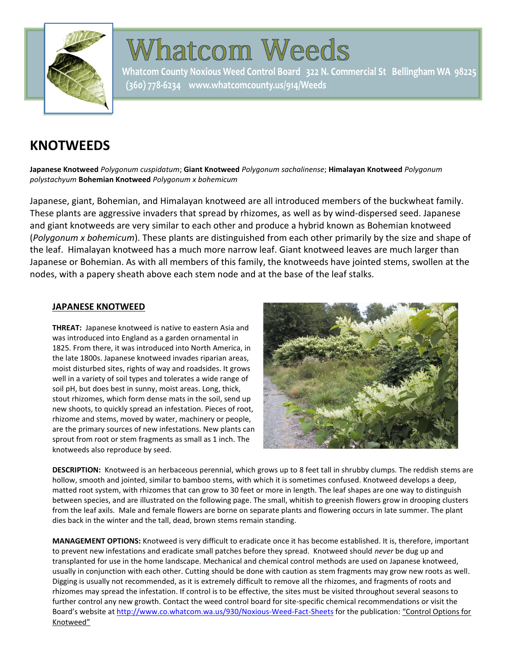

# **Whatcom Weeds**

Whatcom County Noxious Weed Control Board 322 N. Commercial St Bellingham WA 98225 (360) 778-6234 www.whatcomcounty.us/914/Weeds

# **KNOTWEEDS**

**Japanese Knotweed** *Polygonum cuspidatum*; **Giant Knotweed** *Polygonum sachalinense*; **Himalayan Knotweed** *Polygonum polystachyum* **Bohemian Knotweed** *Polygonum x bohemicum*

Japanese, giant, Bohemian, and Himalayan knotweed are all introduced members of the buckwheat family. These plants are aggressive invaders that spread by rhizomes, as well as by wind-dispersed seed. Japanese and giant knotweeds are very similar to each other and produce a hybrid known as Bohemian knotweed (*Polygonum x bohemicum*). These plants are distinguished from each other primarily by the size and shape of the leaf. Himalayan knotweed has a much more narrow leaf. Giant knotweed leaves are much larger than Japanese or Bohemian. As with all members of this family, the knotweeds have jointed stems, swollen at the nodes, with a papery sheath above each stem node and at the base of the leaf stalks.

## **JAPANESE KNOTWEED**

**THREAT:** Japanese knotweed is native to eastern Asia and was introduced into England as a garden ornamental in 1825. From there, it was introduced into North America, in the late 1800s. Japanese knotweed invades riparian areas, moist disturbed sites, rights of way and roadsides. It grows well in a variety of soil types and tolerates a wide range of soil pH, but does best in sunny, moist areas. Long, thick, stout rhizomes, which form dense mats in the soil, send up new shoots, to quickly spread an infestation. Pieces of root, rhizome and stems, moved by water, machinery or people, are the primary sources of new infestations. New plants can sprout from root or stem fragments as small as 1 inch. The knotweeds also reproduce by seed.



**DESCRIPTION:** Knotweed is an herbaceous perennial, which grows up to 8 feet tall in shrubby clumps. The reddish stems are hollow, smooth and jointed, similar to bamboo stems, with which it is sometimes confused. Knotweed develops a deep, matted root system, with rhizomes that can grow to 30 feet or more in length. The leaf shapes are one way to distinguish between species, and are illustrated on the following page. The small, whitish to greenish flowers grow in drooping clusters from the leaf axils. Male and female flowers are borne on separate plants and flowering occurs in late summer. The plant dies back in the winter and the tall, dead, brown stems remain standing.

**MANAGEMENT OPTIONS:** Knotweed is very difficult to eradicate once it has become established. It is, therefore, important to prevent new infestations and eradicate small patches before they spread. Knotweed should *never* be dug up and transplanted for use in the home landscape. Mechanical and chemical control methods are used on Japanese knotweed, usually in conjunction with each other. Cutting should be done with caution as stem fragments may grow new roots as well. Digging is usually not recommended, as it is extremely difficult to remove all the rhizomes, and fragments of roots and rhizomes may spread the infestation. If control is to be effective, the sites must be visited throughout several seasons to further control any new growth. Contact the weed control board for site-specific chemical recommendations or visit the Board's website a[t http://www.co.whatcom.wa.us/930/Noxious-Weed-Fact-Sheets](http://www.co.whatcom.wa.us/930/Noxious-Weed-Fact-Sheets) for the publication: "Control Options for Knotweed"